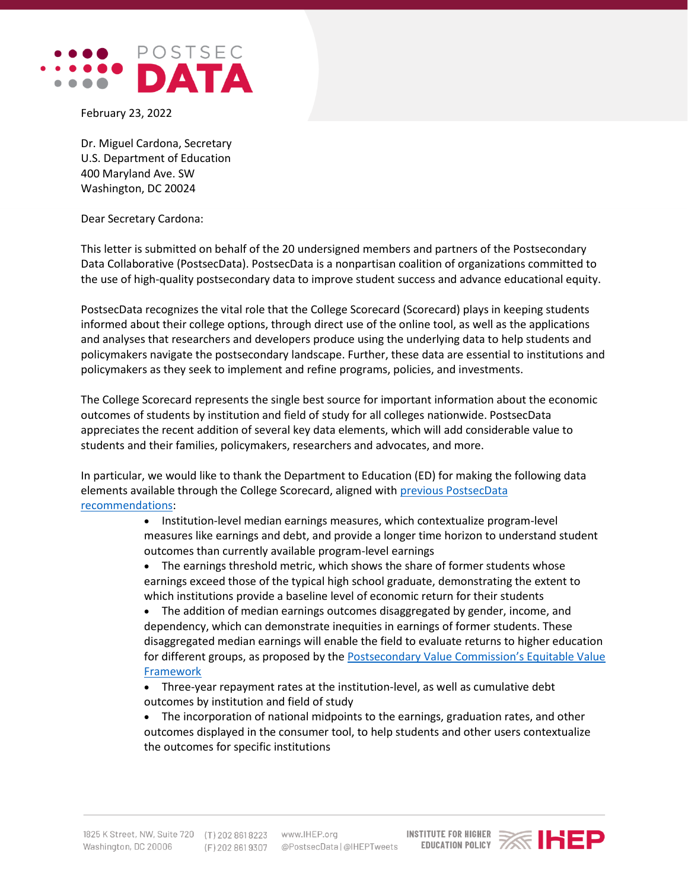

February 23, 2022

Dr. Miguel Cardona, Secretary U.S. Department of Education 400 Maryland Ave. SW Washington, DC 20024

Dear Secretary Cardona:

This letter is submitted on behalf of the 20 undersigned members and partners of the Postsecondary Data Collaborative (PostsecData). PostsecData is a nonpartisan coalition of organizations committed to the use of high-quality postsecondary data to improve student success and advance educational equity.

PostsecData recognizes the vital role that the College Scorecard (Scorecard) plays in keeping students informed about their college options, through direct use of the online tool, as well as the applications and analyses that researchers and developers produce using the underlying data to help students and policymakers navigate the postsecondary landscape. Further, these data are essential to institutions and policymakers as they seek to implement and refine programs, policies, and investments.

The College Scorecard represents the single best source for important information about the economic outcomes of students by institution and field of study for all colleges nationwide. PostsecData appreciates the recent addition of several key data elements, which will add considerable value to students and their families, policymakers, researchers and advocates, and more.

In particular, we would like to thank the Department to Education (ED) for making the following data elements available through the College Scorecard, aligned with [previous PostsecData](https://sites.ihep.org/sites/default/files/uploads/postsecdata/docs/resources/college_scorecard_recommendation_letter_july_2021.pdf)  [recommendations:](https://sites.ihep.org/sites/default/files/uploads/postsecdata/docs/resources/college_scorecard_recommendation_letter_july_2021.pdf)

> • Institution-level median earnings measures, which contextualize program-level measures like earnings and debt, and provide a longer time horizon to understand student outcomes than currently available program-level earnings

• The earnings threshold metric, which shows the share of former students whose earnings exceed those of the typical high school graduate, demonstrating the extent to which institutions provide a baseline level of economic return for their students

• The addition of median earnings outcomes disaggregated by gender, income, and dependency, which can demonstrate inequities in earnings of former students. These disaggregated median earnings will enable the field to evaluate returns to higher education for different groups, as proposed by the Postsecondary Value Commission's Equitable Value **[Framework](https://www.postsecondaryvalue.org/our-work/measuring-value/)** 

• Three-year repayment rates at the institution-level, as well as cumulative debt outcomes by institution and field of study

• The incorporation of national midpoints to the earnings, graduation rates, and other outcomes displayed in the consumer tool, to help students and other users contextualize the outcomes for specific institutions